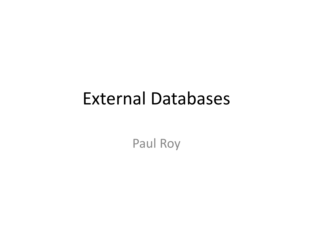#### External Databases

Paul Roy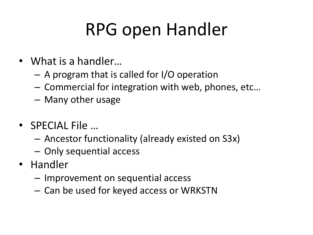# RPG open Handler

- What is a handler…
	- A program that is called for I/O operation
	- Commercial for integration with web, phones, etc…
	- Many other usage
- SPECIAL File …
	- Ancestor functionality (already existed on S3x)
	- Only sequential access
- Handler
	- Improvement on sequential access
	- Can be used for keyed access or WRKSTN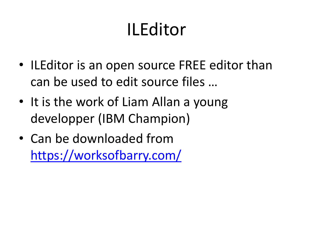# ILEditor

- ILEditor is an open source FREE editor than can be used to edit source files …
- It is the work of Liam Allan a young developper (IBM Champion)
- Can be downloaded from <https://worksofbarry.com/>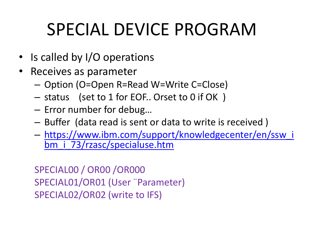# SPECIAL DEVICE PROGRAM

- Is called by I/O operations
- Receives as parameter
	- Option (O=Open R=Read W=Write C=Close)
	- status (set to 1 for EOF.. Orset to 0 if OK )
	- Error number for debug…
	- Buffer (data read is sent or data to write is received )
	- [https://www.ibm.com/support/knowledgecenter/en/ssw\\_i](https://www.ibm.com/support/knowledgecenter/en/ssw_ibm_i_73/rzasc/specialuse.htm) [bm\\_i\\_73/rzasc/specialuse.htm](https://www.ibm.com/support/knowledgecenter/en/ssw_ibm_i_73/rzasc/specialuse.htm)

SPECIAL00 / OR00 /OR000 SPECIAL01/OR01 (User ¨Parameter) SPECIAL02/OR02 (write to IFS)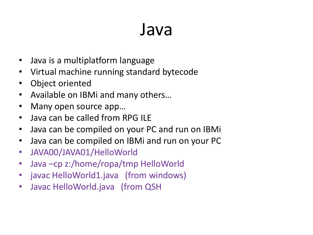#### Java

- Java is a multiplatform language
- Virtual machine running standard bytecode
- Object oriented
- Available on IBMi and many others…
- Many open source app...
- Java can be called from RPG ILE
- Java can be compiled on your PC and run on IBMi
- Java can be compiled on IBMi and run on your PC
- JAVA00/JAVA01/HelloWorld
- Java –cp z:/home/ropa/tmp HelloWorld
- javac HelloWorld1.java (from windows)
- Javac HelloWorld.java (from QSH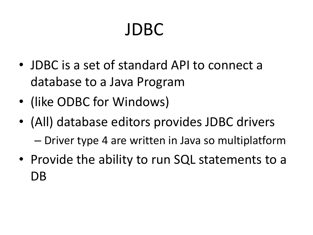# JDBC

- JDBC is a set of standard API to connect a database to a Java Program
- (like ODBC for Windows)
- (All) database editors provides JDBC drivers – Driver type 4 are written in Java so multiplatform
- Provide the ability to run SQL statements to a DB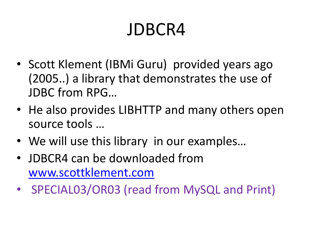# JDBCR4

- Scott Klement (IBMi Guru) provided years ago (2005..) a library that demonstrates the use of JDBC from RPG…
- He also provides LIBHTTP and many others open source tools …
- We will use this library in our examples...
- JDBCR4 can be downloaded from [www.scottklement.com](http://www.scottklement.com/)
- SPECIAL03/OR03 (read from MySQL and Print)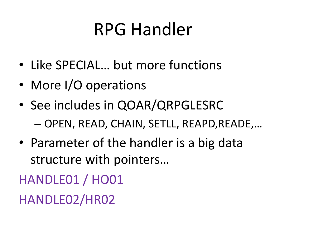### RPG Handler

- Like SPECIAL… but more functions
- More I/O operations
- See includes in QOAR/QRPGLESRC – OPEN, READ, CHAIN, SETLL, REAPD,READE,…
- Parameter of the handler is a big data structure with pointers…
- HANDLE01 / HO01
- HANDLE02/HR02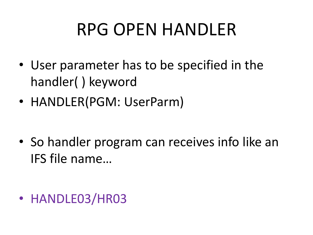## RPG OPEN HANDLER

- User parameter has to be specified in the handler( ) keyword
- HANDLER(PGM: UserParm)

• So handler program can receives info like an IFS file name…

• HANDLE03/HR03